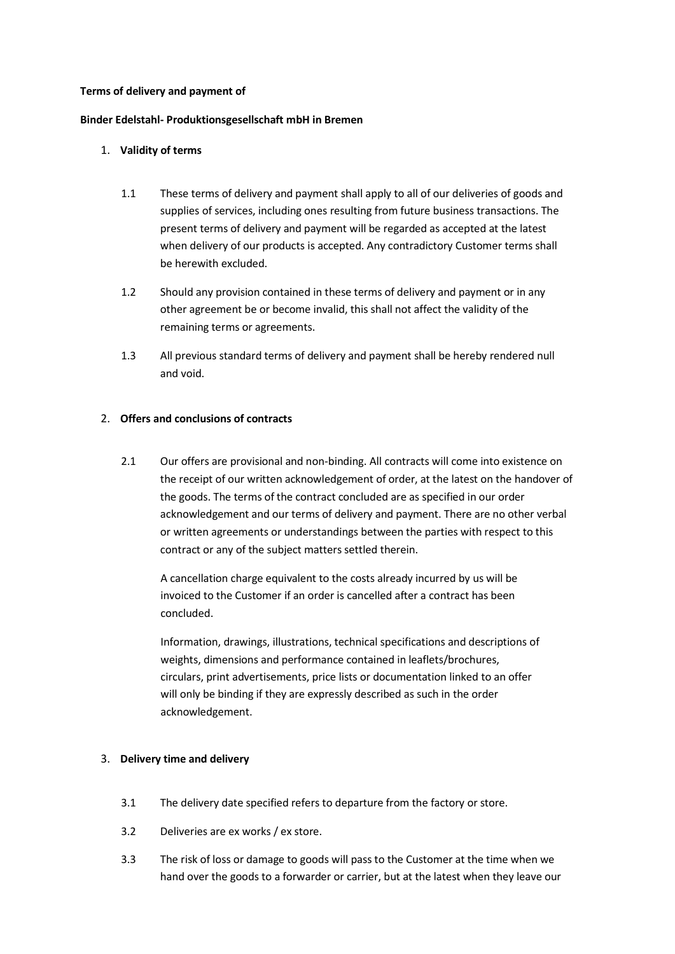### **Terms of delivery and payment of**

#### **Binder Edelstahl- Produktionsgesellschaft mbH in Bremen**

### 1. **Validity of terms**

- 1.1 These terms of delivery and payment shall apply to all of our deliveries of goods and supplies of services, including ones resulting from future business transactions. The present terms of delivery and payment will be regarded as accepted at the latest when delivery of our products is accepted. Any contradictory Customer terms shall be herewith excluded.
- 1.2 Should any provision contained in these terms of delivery and payment or in any other agreement be or become invalid, this shall not affect the validity of the remaining terms or agreements.
- 1.3 All previous standard terms of delivery and payment shall be hereby rendered null and void.

### 2. **Offers and conclusions of contracts**

2.1 Our offers are provisional and non-binding. All contracts will come into existence on the receipt of our written acknowledgement of order, at the latest on the handover of the goods. The terms of the contract concluded are as specified in our order acknowledgement and our terms of delivery and payment. There are no other verbal or written agreements or understandings between the parties with respect to this contract or any of the subject matters settled therein.

A cancellation charge equivalent to the costs already incurred by us will be invoiced to the Customer if an order is cancelled after a contract has been concluded.

Information, drawings, illustrations, technical specifications and descriptions of weights, dimensions and performance contained in leaflets/brochures, circulars, print advertisements, price lists or documentation linked to an offer will only be binding if they are expressly described as such in the order acknowledgement.

#### 3. **Delivery time and delivery**

- 3.1 The delivery date specified refers to departure from the factory or store.
- 3.2 Deliveries are ex works / ex store.
- 3.3 The risk of loss or damage to goods will pass to the Customer at the time when we hand over the goods to a forwarder or carrier, but at the latest when they leave our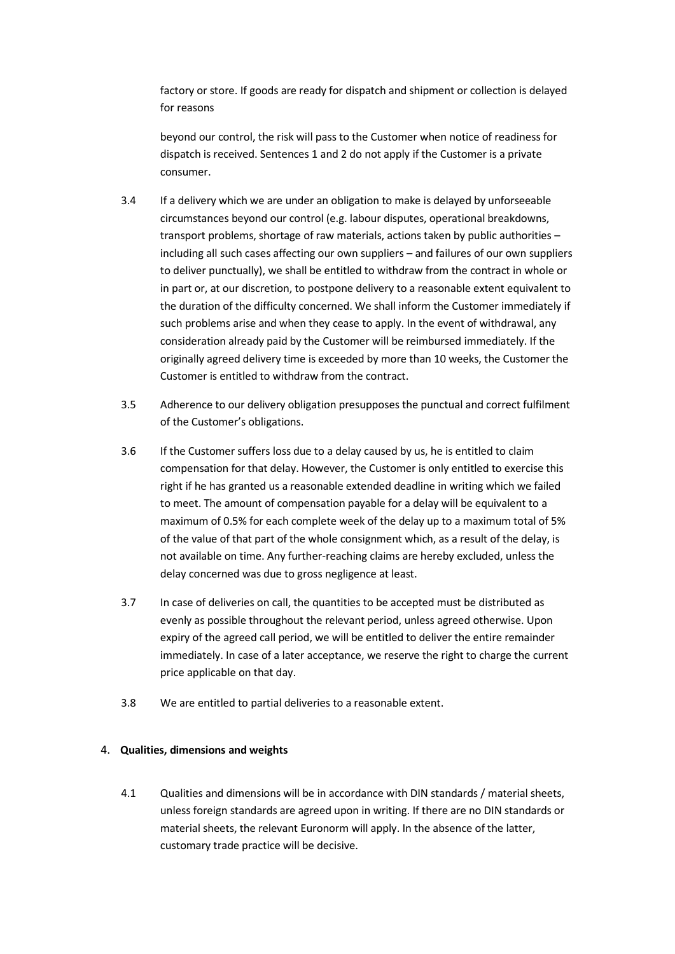factory or store. If goods are ready for dispatch and shipment or collection is delayed for reasons

beyond our control, the risk will pass to the Customer when notice of readiness for dispatch is received. Sentences 1 and 2 do not apply if the Customer is a private consumer.

- 3.4 If a delivery which we are under an obligation to make is delayed by unforseeable circumstances beyond our control (e.g. labour disputes, operational breakdowns, transport problems, shortage of raw materials, actions taken by public authorities – including all such cases affecting our own suppliers – and failures of our own suppliers to deliver punctually), we shall be entitled to withdraw from the contract in whole or in part or, at our discretion, to postpone delivery to a reasonable extent equivalent to the duration of the difficulty concerned. We shall inform the Customer immediately if such problems arise and when they cease to apply. In the event of withdrawal, any consideration already paid by the Customer will be reimbursed immediately. If the originally agreed delivery time is exceeded by more than 10 weeks, the Customer the Customer is entitled to withdraw from the contract.
- 3.5 Adherence to our delivery obligation presupposes the punctual and correct fulfilment of the Customer's obligations.
- 3.6 If the Customer suffers loss due to a delay caused by us, he is entitled to claim compensation for that delay. However, the Customer is only entitled to exercise this right if he has granted us a reasonable extended deadline in writing which we failed to meet. The amount of compensation payable for a delay will be equivalent to a maximum of 0.5% for each complete week of the delay up to a maximum total of 5% of the value of that part of the whole consignment which, as a result of the delay, is not available on time. Any further-reaching claims are hereby excluded, unless the delay concerned was due to gross negligence at least.
- 3.7 In case of deliveries on call, the quantities to be accepted must be distributed as evenly as possible throughout the relevant period, unless agreed otherwise. Upon expiry of the agreed call period, we will be entitled to deliver the entire remainder immediately. In case of a later acceptance, we reserve the right to charge the current price applicable on that day.
- 3.8 We are entitled to partial deliveries to a reasonable extent.

## 4. **Qualities, dimensions and weights**

4.1 Qualities and dimensions will be in accordance with DIN standards / material sheets, unless foreign standards are agreed upon in writing. If there are no DIN standards or material sheets, the relevant Euronorm will apply. In the absence of the latter, customary trade practice will be decisive.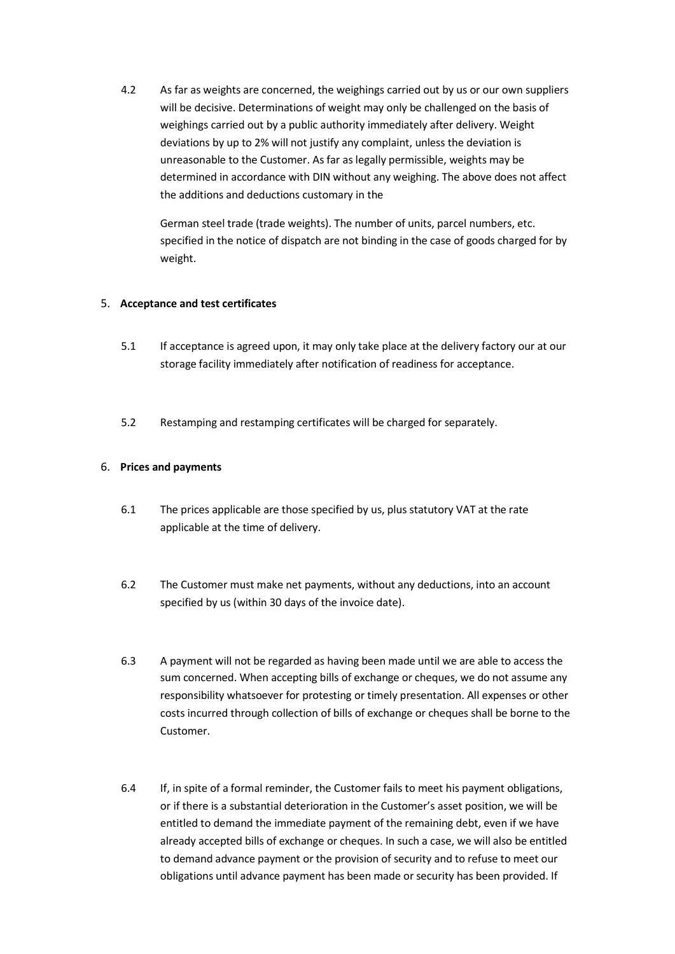4.2 As far as weights are concerned, the weighings carried out by us or our own suppliers will be decisive. Determinations of weight may only be challenged on the basis of weighings carried out by a public authority immediately after delivery. Weight deviations by up to 2% will not justify any complaint, unless the deviation is unreasonable to the Customer. As far as legally permissible, weights may be determined in accordance with DIN without any weighing. The above does not affect the additions and deductions customary in the

German steel trade (trade weights). The number of units, parcel numbers, etc. specified in the notice of dispatch are not binding in the case of goods charged for by weight.

## 5. **Acceptance and test certificates**

- 5.1 If acceptance is agreed upon, it may only take place at the delivery factory our at our storage facility immediately after notification of readiness for acceptance.
- 5.2 Restamping and restamping certificates will be charged for separately.

## 6. **Prices and payments**

- 6.1 The prices applicable are those specified by us, plus statutory VAT at the rate applicable at the time of delivery.
- 6.2 The Customer must make net payments, without any deductions, into an account specified by us (within 30 days of the invoice date).
- 6.3 A payment will not be regarded as having been made until we are able to access the sum concerned. When accepting bills of exchange or cheques, we do not assume any responsibility whatsoever for protesting or timely presentation. All expenses or other costs incurred through collection of bills of exchange or cheques shall be borne to the Customer.
- 6.4 If, in spite of a formal reminder, the Customer fails to meet his payment obligations, or if there is a substantial deterioration in the Customer's asset position, we will be entitled to demand the immediate payment of the remaining debt, even if we have already accepted bills of exchange or cheques. In such a case, we will also be entitled to demand advance payment or the provision of security and to refuse to meet our obligations until advance payment has been made or security has been provided. If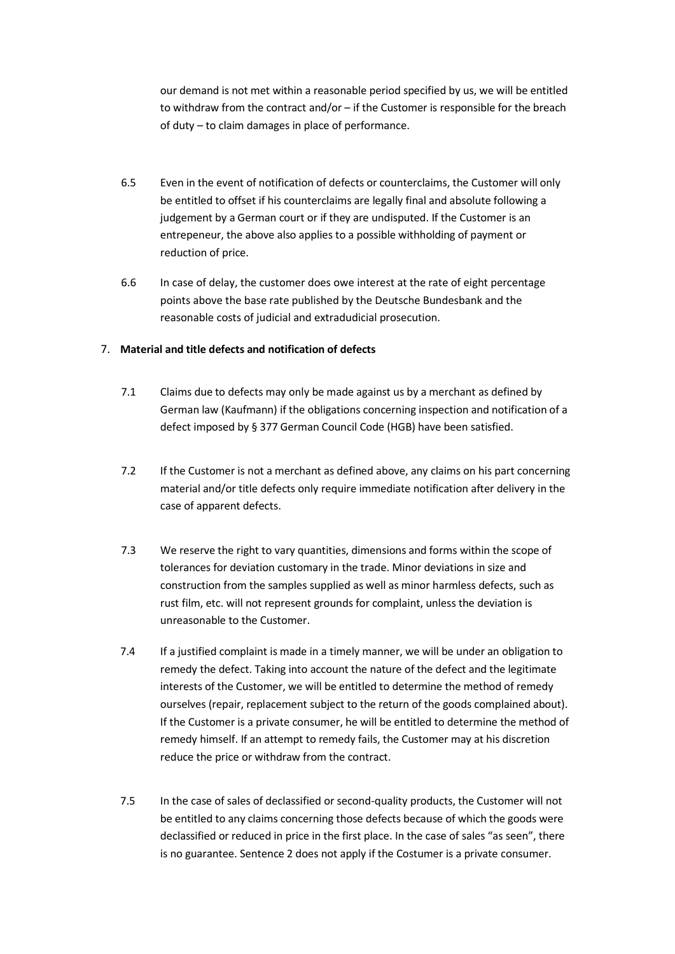our demand is not met within a reasonable period specified by us, we will be entitled to withdraw from the contract and/or – if the Customer is responsible for the breach of duty – to claim damages in place of performance.

- 6.5 Even in the event of notification of defects or counterclaims, the Customer will only be entitled to offset if his counterclaims are legally final and absolute following a judgement by a German court or if they are undisputed. If the Customer is an entrepeneur, the above also applies to a possible withholding of payment or reduction of price.
- 6.6 In case of delay, the customer does owe interest at the rate of eight percentage points above the base rate published by the Deutsche Bundesbank and the reasonable costs of judicial and extradudicial prosecution.

## 7. **Material and title defects and notification of defects**

- 7.1 Claims due to defects may only be made against us by a merchant as defined by German law (Kaufmann) if the obligations concerning inspection and notification of a defect imposed by § 377 German Council Code (HGB) have been satisfied.
- 7.2 If the Customer is not a merchant as defined above, any claims on his part concerning material and/or title defects only require immediate notification after delivery in the case of apparent defects.
- 7.3 We reserve the right to vary quantities, dimensions and forms within the scope of tolerances for deviation customary in the trade. Minor deviations in size and construction from the samples supplied as well as minor harmless defects, such as rust film, etc. will not represent grounds for complaint, unless the deviation is unreasonable to the Customer.
- 7.4 If a justified complaint is made in a timely manner, we will be under an obligation to remedy the defect. Taking into account the nature of the defect and the legitimate interests of the Customer, we will be entitled to determine the method of remedy ourselves (repair, replacement subject to the return of the goods complained about). If the Customer is a private consumer, he will be entitled to determine the method of remedy himself. If an attempt to remedy fails, the Customer may at his discretion reduce the price or withdraw from the contract.
- 7.5 In the case of sales of declassified or second-quality products, the Customer will not be entitled to any claims concerning those defects because of which the goods were declassified or reduced in price in the first place. In the case of sales "as seen", there is no guarantee. Sentence 2 does not apply if the Costumer is a private consumer.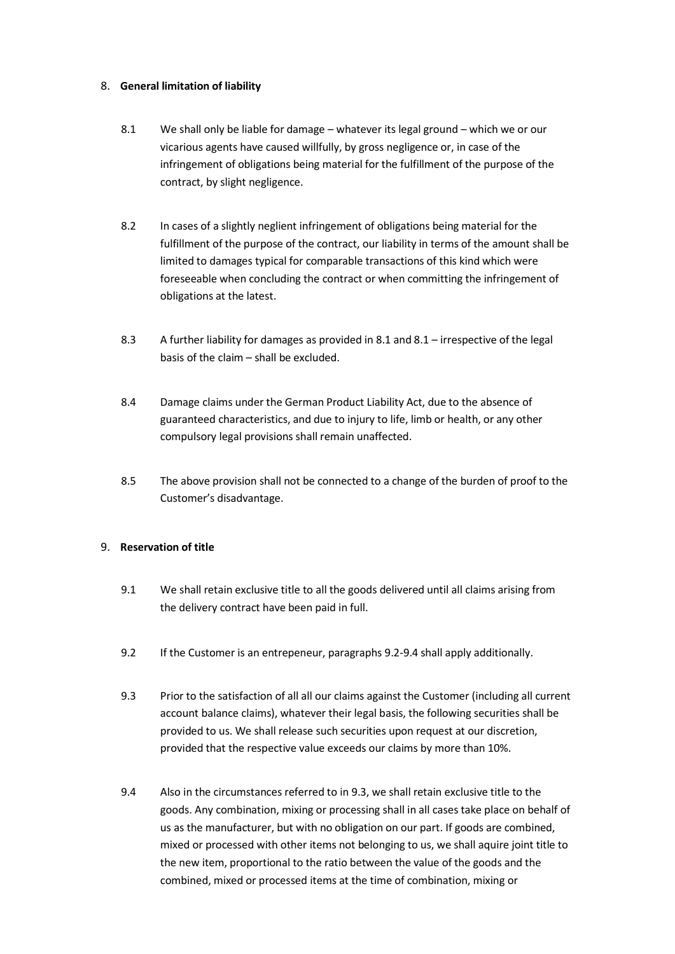## 8. **General limitation of liability**

- 8.1 We shall only be liable for damage whatever its legal ground which we or our vicarious agents have caused willfully, by gross negligence or, in case of the infringement of obligations being material for the fulfillment of the purpose of the contract, by slight negligence.
- 8.2 In cases of a slightly neglient infringement of obligations being material for the fulfillment of the purpose of the contract, our liability in terms of the amount shall be limited to damages typical for comparable transactions of this kind which were foreseeable when concluding the contract or when committing the infringement of obligations at the latest.
- 8.3 A further liability for damages as provided in 8.1 and 8.1 irrespective of the legal basis of the claim – shall be excluded.
- 8.4 Damage claims under the German Product Liability Act, due to the absence of guaranteed characteristics, and due to injury to life, limb or health, or any other compulsory legal provisions shall remain unaffected.
- 8.5 The above provision shall not be connected to a change of the burden of proof to the Customer's disadvantage.

## 9. **Reservation of title**

- 9.1 We shall retain exclusive title to all the goods delivered until all claims arising from the delivery contract have been paid in full.
- 9.2 If the Customer is an entrepeneur, paragraphs 9.2-9.4 shall apply additionally.
- 9.3 Prior to the satisfaction of all all our claims against the Customer (including all current account balance claims), whatever their legal basis, the following securities shall be provided to us. We shall release such securities upon request at our discretion, provided that the respective value exceeds our claims by more than 10%.
- 9.4 Also in the circumstances referred to in 9.3, we shall retain exclusive title to the goods. Any combination, mixing or processing shall in all cases take place on behalf of us as the manufacturer, but with no obligation on our part. If goods are combined, mixed or processed with other items not belonging to us, we shall aquire joint title to the new item, proportional to the ratio between the value of the goods and the combined, mixed or processed items at the time of combination, mixing or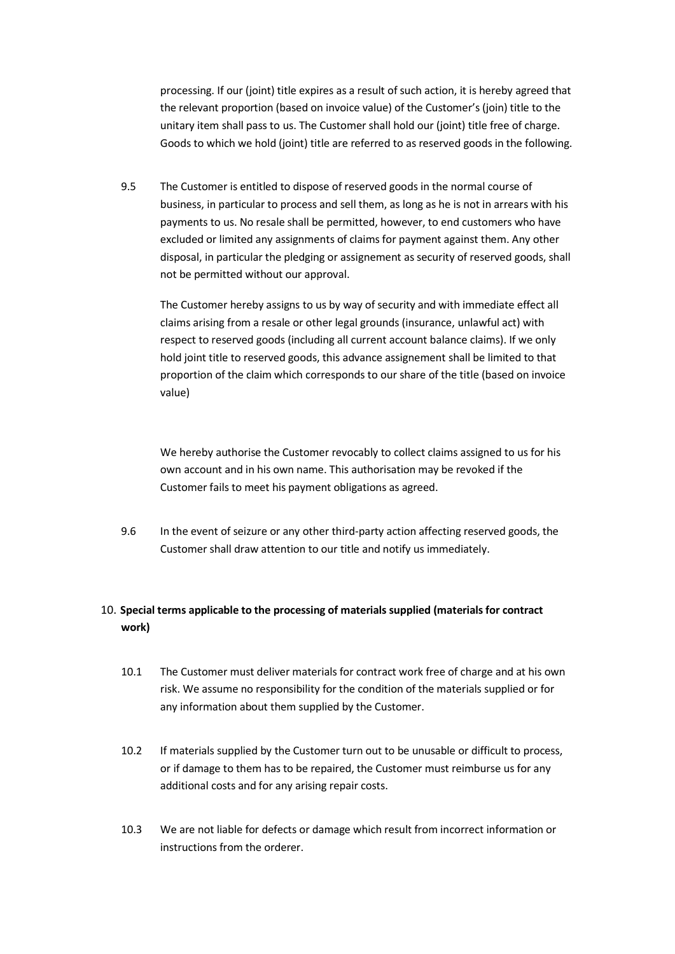processing. If our (joint) title expires as a result of such action, it is hereby agreed that the relevant proportion (based on invoice value) of the Customer's (join) title to the unitary item shall pass to us. The Customer shall hold our (joint) title free of charge. Goods to which we hold (joint) title are referred to as reserved goods in the following.

9.5 The Customer is entitled to dispose of reserved goods in the normal course of business, in particular to process and sell them, as long as he is not in arrears with his payments to us. No resale shall be permitted, however, to end customers who have excluded or limited any assignments of claims for payment against them. Any other disposal, in particular the pledging or assignement as security of reserved goods, shall not be permitted without our approval.

The Customer hereby assigns to us by way of security and with immediate effect all claims arising from a resale or other legal grounds (insurance, unlawful act) with respect to reserved goods (including all current account balance claims). If we only hold joint title to reserved goods, this advance assignement shall be limited to that proportion of the claim which corresponds to our share of the title (based on invoice value)

We hereby authorise the Customer revocably to collect claims assigned to us for his own account and in his own name. This authorisation may be revoked if the Customer fails to meet his payment obligations as agreed.

9.6 In the event of seizure or any other third-party action affecting reserved goods, the Customer shall draw attention to our title and notify us immediately.

# 10. **Special terms applicable to the processing of materials supplied (materials for contract work)**

- 10.1 The Customer must deliver materials for contract work free of charge and at his own risk. We assume no responsibility for the condition of the materials supplied or for any information about them supplied by the Customer.
- 10.2 If materials supplied by the Customer turn out to be unusable or difficult to process, or if damage to them has to be repaired, the Customer must reimburse us for any additional costs and for any arising repair costs.
- 10.3 We are not liable for defects or damage which result from incorrect information or instructions from the orderer.